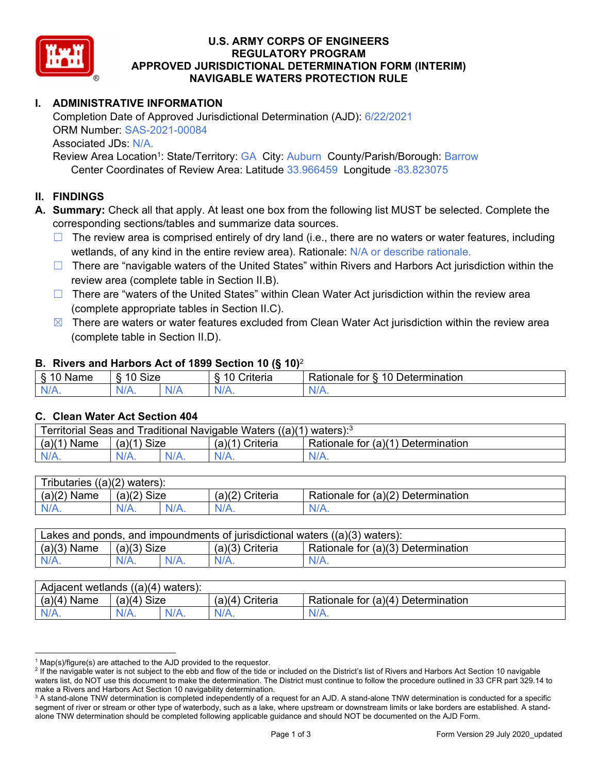

#### **U.S. ARMY CORPS OF ENGINEERS REGULATORY PROGRAM APPROVED JURISDICTIONAL DETERMINATION FORM (INTERIM) NAVIGABLE WATERS PROTECTION RULE**

## **I. ADMINISTRATIVE INFORMATION**

Completion Date of Approved Jurisdictional Determination (AJD): 6/22/2021 ORM Number: SAS-2021-00084 Associated JDs: N/A.

Review Area Location<sup>1</sup>: State/Territory: GA City: Auburn County/Parish/Borough: Barrow Center Coordinates of Review Area: Latitude 33.966459 Longitude -83.823075

#### **II. FINDINGS**

 corresponding sections/tables and summarize data sources. **A. Summary:** Check all that apply. At least one box from the following list MUST be selected. Complete the

- $\Box$  The review area is comprised entirely of dry land (i.e., there are no waters or water features, including wetlands, of any kind in the entire review area). Rationale: N/A or describe rationale.
- □ There are "navigable waters of the United States" within Rivers and Harbors Act jurisdiction within the review area (complete table in Section II.B).
- □ There are "waters of the United States" within Clean Water Act jurisdiction within the review area (complete appropriate tables in Section II.C).
- $\boxtimes$  There are waters or water features excluded from Clean Water Act jurisdiction within the review area (complete table in Section II.D).

#### **B. Rivers and Harbors Act of 1899 Section 10 (§ 10)**<sup>2</sup>

| $\cdot$                                      |                                    |     |                           |                                                                                            |  |
|----------------------------------------------|------------------------------------|-----|---------------------------|--------------------------------------------------------------------------------------------|--|
| $\delta$<br>∽<br>.<br>'vame<br>.,<br>٠J<br>- | <b>Size</b><br>$\overline{A}$<br>c |     | 1 C<br>$"$ ritaria<br>ΙА. | $\overline{\phantom{a}}$<br>1 Q<br>⊃etermınatıon<br>$-1 - 1 - 1$<br>tor<br>kationale:<br>. |  |
| N/A.                                         | 97 A .                             | NIA | N//<br>17.                |                                                                                            |  |

#### **C. Clean Water Act Section 404**

| (a)(1) Ferritorial Seas and Traditional Navigable Waters ((a)(1)<br>) waters): $3$ |                |         |                                |                                           |  |
|------------------------------------------------------------------------------------|----------------|---------|--------------------------------|-------------------------------------------|--|
| (a)(1)<br><b>Name</b>                                                              | Size<br>(a)(1) |         | (a)( <sup>11</sup><br>Criteria | Rationale for $(a)(1)$ D<br>Determination |  |
| $N/A$ .                                                                            | $N/A$ .        | $N/A$ . | $N/A$ .                        | $N/A$ .                                   |  |

| Tributaries,<br>$((a)(2)$ waters): |                |         |                    |                                    |  |  |
|------------------------------------|----------------|---------|--------------------|------------------------------------|--|--|
| (a)(2)<br>Name                     | Size<br>(a)(2) |         | (a)(2)<br>Criteria | Rationale for (a)(2) Determination |  |  |
| $N/A$ .                            | $N/A$ .        | $N/A$ . | $N/A$ .            | N/A.                               |  |  |

| Lakes and ponds, and impoundments of jurisdictional waters $((a)(3)$ waters): |               |         |                   |                                    |  |
|-------------------------------------------------------------------------------|---------------|---------|-------------------|------------------------------------|--|
| $(a)(3)$ Name                                                                 | $(a)(3)$ Size |         | $(a)(3)$ Criteria | Rationale for (a)(3) Determination |  |
| $N/A$ .                                                                       | $N/A$ .       | $N/A$ . | $N/A$ .           | $N/A$ .                            |  |

| Adjacent wetlands $((a)(4)$ waters): |                |         |                   |                                    |  |  |
|--------------------------------------|----------------|---------|-------------------|------------------------------------|--|--|
| (a)(4)<br>Name                       | (a)(4)<br>Size |         | (a)(4<br>Criteria | Rationale for (a)(4) Determination |  |  |
| N/A.                                 | $N/A$ .        | $N/A$ . | N/A.              | N/A.                               |  |  |

<sup>&</sup>lt;sup>1</sup> Map(s)/figure(s) are attached to the AJD provided to the requestor.<br><sup>2</sup> If the navigable water is not subject to the ebb and flow of the tide o

<sup>&</sup>lt;sup>2</sup> If the navigable water is not subject to the ebb and flow of the tide or included on the District's list of Rivers and Harbors Act Section 10 navigable waters list, do NOT use this document to make the determination. The District must continue to follow the procedure outlined in 33 CFR part 329.14 to make a Rivers and Harbors Act Section 10 navigability determination.

 $^3$  A stand-alone TNW determination is completed independently of a request for an AJD. A stand-alone TNW determination is conducted for a specific segment of river or stream or other type of waterbody, such as a lake, where upstream or downstream limits or lake borders are established. A standalone TNW determination should be completed following applicable guidance and should NOT be documented on the AJD Form.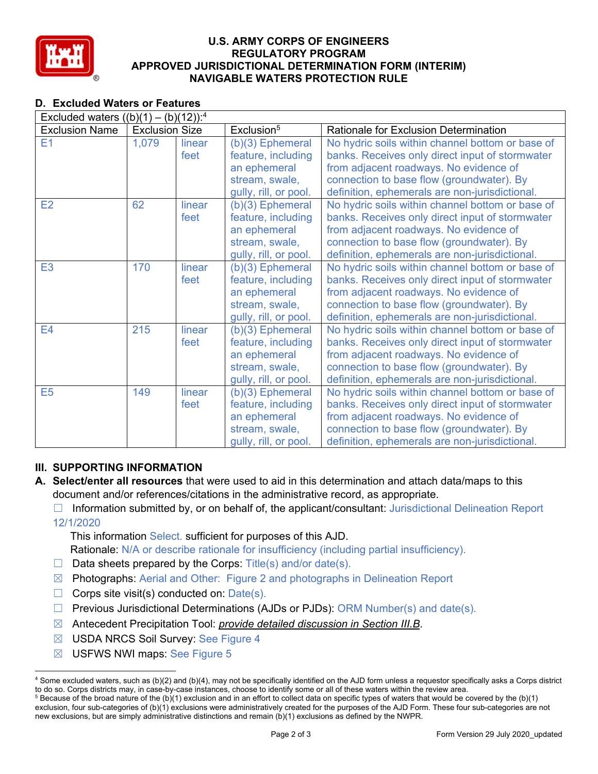

#### **U.S. ARMY CORPS OF ENGINEERS REGULATORY PROGRAM APPROVED JURISDICTIONAL DETERMINATION FORM (INTERIM) NAVIGABLE WATERS PROTECTION RULE**

# **D. Excluded Waters or Features**

| Excluded waters $((b)(1) - (b)(12))$ : <sup>4</sup> |                       |        |                        |                                                  |
|-----------------------------------------------------|-----------------------|--------|------------------------|--------------------------------------------------|
| <b>Exclusion Name</b>                               | <b>Exclusion Size</b> |        | Exclusion <sup>5</sup> | Rationale for Exclusion Determination            |
| E1                                                  | 1,079                 | linear | $(b)(3)$ Ephemeral     | No hydric soils within channel bottom or base of |
|                                                     |                       | feet   | feature, including     | banks. Receives only direct input of stormwater  |
|                                                     |                       |        | an ephemeral           | from adjacent roadways. No evidence of           |
|                                                     |                       |        | stream, swale,         | connection to base flow (groundwater). By        |
|                                                     |                       |        | gully, rill, or pool.  | definition, ephemerals are non-jurisdictional.   |
| E2                                                  | 62                    | linear | (b)(3) Ephemeral       | No hydric soils within channel bottom or base of |
|                                                     |                       | feet   | feature, including     | banks. Receives only direct input of stormwater  |
|                                                     |                       |        | an ephemeral           | from adjacent roadways. No evidence of           |
|                                                     |                       |        | stream, swale,         | connection to base flow (groundwater). By        |
|                                                     |                       |        | gully, rill, or pool.  | definition, ephemerals are non-jurisdictional.   |
| E <sub>3</sub>                                      | 170                   | linear | $(b)(3)$ Ephemeral     | No hydric soils within channel bottom or base of |
|                                                     |                       | feet   | feature, including     | banks. Receives only direct input of stormwater  |
|                                                     |                       |        | an ephemeral           | from adjacent roadways. No evidence of           |
|                                                     |                       |        | stream, swale,         | connection to base flow (groundwater). By        |
|                                                     |                       |        | gully, rill, or pool.  | definition, ephemerals are non-jurisdictional.   |
| E4                                                  | 215                   | linear | $(b)(3)$ Ephemeral     | No hydric soils within channel bottom or base of |
|                                                     |                       | feet   | feature, including     | banks. Receives only direct input of stormwater  |
|                                                     |                       |        | an ephemeral           | from adjacent roadways. No evidence of           |
|                                                     |                       |        | stream, swale,         | connection to base flow (groundwater). By        |
|                                                     |                       |        | gully, rill, or pool.  | definition, ephemerals are non-jurisdictional.   |
| E <sub>5</sub>                                      | 149                   | linear | (b)(3) Ephemeral       | No hydric soils within channel bottom or base of |
|                                                     |                       | feet   | feature, including     | banks. Receives only direct input of stormwater  |
|                                                     |                       |        | an ephemeral           | from adjacent roadways. No evidence of           |
|                                                     |                       |        | stream, swale,         | connection to base flow (groundwater). By        |
|                                                     |                       |        | gully, rill, or pool.  | definition, ephemerals are non-jurisdictional.   |

# **III. SUPPORTING INFORMATION**

- **A. Select/enter all resources** that were used to aid in this determination and attach data/maps to this document and/or references/citations in the administrative record, as appropriate.
	- □ Information submitted by, or on behalf of, the applicant/consultant: Jurisdictional Delineation Report 12/1/2020

This information Select. sufficient for purposes of this AJD.

Rationale: N/A or describe rationale for insufficiency (including partial insufficiency).

- $\Box$  Data sheets prepared by the Corps: Title(s) and/or date(s).
- ☒ Photographs: Aerial and Other: Figure 2 and photographs in Delineation Report
- $\Box$  Corps site visit(s) conducted on: Date(s).
- ☐ Previous Jurisdictional Determinations (AJDs or PJDs): ORM Number(s) and date(s).
- ☒ Antecedent Precipitation Tool: *provide detailed discussion in Section III.B*.
- **⊠** USDA NRCS Soil Survey: See Figure 4
- ☒ USFWS NWI maps: See Figure 5

<sup>4</sup> Some excluded waters, such as (b)(2) and (b)(4), may not be specifically identified on the AJD form unless a requestor specifically asks a Corps district to do so. Corps districts may, in case-by-case instances, choose to identify some or all of these waters within the review area. 5  $5$  Because of the broad nature of the (b)(1) exclusion and in an effort to collect data on specific types of waters that would be covered by the (b)(1)

exclusion, four sub-categories of (b)(1) exclusions were administratively created for the purposes of the AJD Form. These four sub-categories are not new exclusions, but are simply administrative distinctions and remain (b)(1) exclusions as defined by the NWPR.